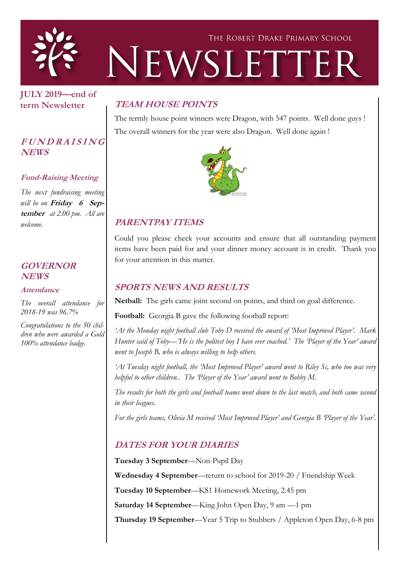

**JULY 2019—end of term Newsletter**

#### **<sup>F</sup> <sup>U</sup> <sup>N</sup> <sup>D</sup> <sup>R</sup> <sup>A</sup> <sup>I</sup> <sup>S</sup> <sup>I</sup> <sup>N</sup> <sup>G</sup> NEWS**

#### **Fund-Raising Meeting**

*The next fundraising meeting will be on* **Friday 6 September** *at 2.00 pm. All are welcome.*

#### **GOVERNOR NEWS**

**Attendance**

*The overall attendance for 2018-19 was 96.7%*

*Congratulations to the 50 children who were awarded a Gold 100% attendance badge.* 

## **TEAM HOUSE POINTS**

The termly house point winners were Dragon, with 547 points. Well done guys ! The overall winners for the year were also Dragon. Well done again !



### **PARENTPAY ITEMS**

Could you please check your accounts and ensure that all outstanding payment items have been paid for and your dinner money account is in credit. Thank you for your attention in this matter.

#### **SPORTS NEWS AND RESULTS**

**Netball:** The girls came joint second on points, and third on goal difference.

**Football:** Georgia B gave the following football report:

*'At the Monday night football club Toby D received the award of 'Most Improved Player'. Mark Hunter said of Toby—'He is the politest boy I have ever coached.' The 'Player of the Year' award went to Joseph B, who is always willing to help others.*

*'At Tuesday night football, the 'Most Improved Player' award went to Riley Sc, who too was very helpful to other children.. The 'Player of the Year' award went to Bobby M.*

*The results for both the girls and football teams went down to the last match, and both came second in their leagues.*

*For the girls teams, Olivia M received 'Most Improved Player' and Georgia B 'Player of the Year'.*

#### **DATES FOR YOUR DIARIES**

**Tuesday 3 September**—Non-Pupil Day **Wednesday 4 September**—return to school for 2019-20 / Friendship Week **Tuesday 10 September**—KS1 Homework Meeting, 2.45 pm **Saturday 14 September**—King John Open Day, 9 am —1 pm **Thursday 19 September**—Year 5 Trip to Stubbers / Appleton Open Day, 6-8 pm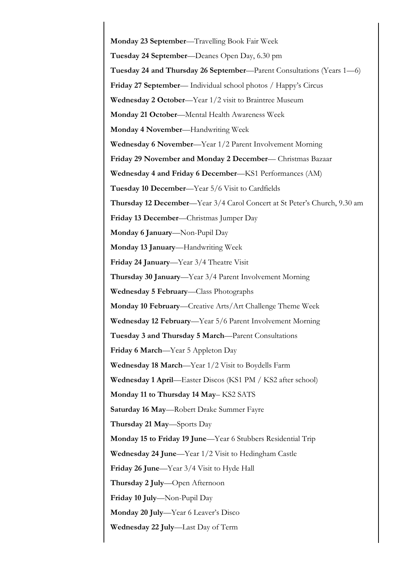**Monday 23 September**—Travelling Book Fair Week **Tuesday 24 September**—Deanes Open Day, 6.30 pm **Tuesday 24 and Thursday 26 September**—Parent Consultations (Years 1—6) **Friday 27 September**— Individual school photos / Happy's Circus **Wednesday 2 October**—Year 1/2 visit to Braintree Museum **Monday 21 October**—Mental Health Awareness Week **Monday 4 November**—Handwriting Week **Wednesday 6 November**—Year 1/2 Parent Involvement Morning **Friday 29 November and Monday 2 December**— Christmas Bazaar **Wednesday 4 and Friday 6 December**—KS1 Performances (AM) **Tuesday 10 December**—Year 5/6 Visit to Cardfields **Thursday 12 December**—Year 3/4 Carol Concert at St Peter's Church, 9.30 am **Friday 13 December**—Christmas Jumper Day **Monday 6 January**—Non-Pupil Day **Monday 13 January**—Handwriting Week **Friday 24 January**—Year 3/4 Theatre Visit **Thursday 30 January**—Year 3/4 Parent Involvement Morning **Wednesday 5 February**—Class Photographs **Monday 10 February**—Creative Arts/Art Challenge Theme Week **Wednesday 12 February**—Year 5/6 Parent Involvement Morning **Tuesday 3 and Thursday 5 March**—Parent Consultations **Friday 6 March**—Year 5 Appleton Day **Wednesday 18 March**—Year 1/2 Visit to Boydells Farm **Wednesday 1 April**—Easter Discos (KS1 PM / KS2 after school) **Monday 11 to Thursday 14 May**– KS2 SATS **Saturday 16 May**—Robert Drake Summer Fayre **Thursday 21 May**—Sports Day **Monday 15 to Friday 19 June**—Year 6 Stubbers Residential Trip **Wednesday 24 June**—Year 1/2 Visit to Hedingham Castle **Friday 26 June**—Year 3/4 Visit to Hyde Hall **Thursday 2 July**—Open Afternoon **Friday 10 July**—Non-Pupil Day **Monday 20 July**—Year 6 Leaver's Disco **Wednesday 22 July**—Last Day of Term